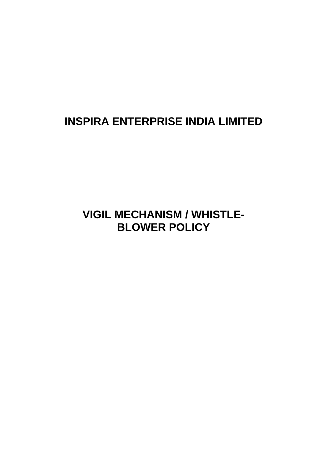# **INSPIRA ENTERPRISE INDIA LIMITED**

## **VIGIL MECHANISM / WHISTLE-BLOWER POLICY**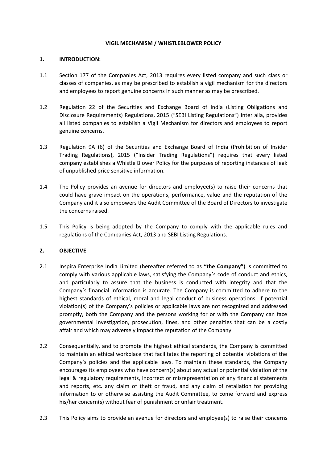#### **VIGIL MECHANISM / WHISTLEBLOWER POLICY**

## **1. INTRODUCTION:**

- 1.1 Section 177 of the Companies Act, 2013 requires every listed company and such class or classes of companies, as may be prescribed to establish a vigil mechanism for the directors and employees to report genuine concerns in such manner as may be prescribed.
- 1.2 Regulation 22 of the Securities and Exchange Board of India (Listing Obligations and Disclosure Requirements) Regulations, 2015 ("SEBI Listing Regulations") inter alia, provides all listed companies to establish a Vigil Mechanism for directors and employees to report genuine concerns.
- 1.3 Regulation 9A (6) of the Securities and Exchange Board of India (Prohibition of Insider Trading Regulations), 2015 ("Insider Trading Regulations") requires that every listed company establishes a Whistle Blower Policy for the purposes of reporting instances of leak of unpublished price sensitive information.
- 1.4 The Policy provides an avenue for directors and employee(s) to raise their concerns that could have grave impact on the operations, performance, value and the reputation of the Company and it also empowers the Audit Committee of the Board of Directors to investigate the concerns raised.
- 1.5 This Policy is being adopted by the Company to comply with the applicable rules and regulations of the Companies Act, 2013 and SEBI Listing Regulations.

## **2. OBJECTIVE**

- 2.1 Inspira Enterprise India Limited (hereafter referred to as **"the Company"**) is committed to comply with various applicable laws, satisfying the Company's code of conduct and ethics, and particularly to assure that the business is conducted with integrity and that the Company's financial information is accurate. The Company is committed to adhere to the highest standards of ethical, moral and legal conduct of business operations. If potential violation(s) of the Company's policies or applicable laws are not recognized and addressed promptly, both the Company and the persons working for or with the Company can face governmental investigation, prosecution, fines, and other penalties that can be a costly affair and which may adversely impact the reputation of the Company.
- 2.2 Consequentially, and to promote the highest ethical standards, the Company is committed to maintain an ethical workplace that facilitates the reporting of potential violations of the Company's policies and the applicable laws. To maintain these standards, the Company encourages its employees who have concern(s) about any actual or potential violation of the legal & regulatory requirements, incorrect or misrepresentation of any financial statements and reports, etc. any claim of theft or fraud, and any claim of retaliation for providing information to or otherwise assisting the Audit Committee, to come forward and express his/her concern(s) without fear of punishment or unfair treatment.
- 2.3 This Policy aims to provide an avenue for directors and employee(s) to raise their concerns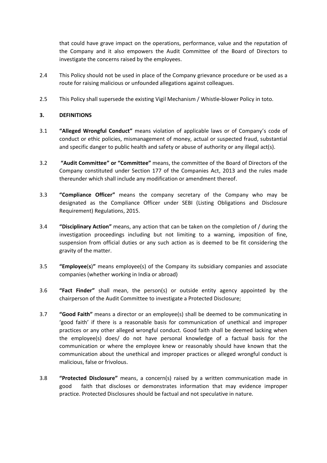that could have grave impact on the operations, performance, value and the reputation of the Company and it also empowers the Audit Committee of the Board of Directors to investigate the concerns raised by the employees.

- 2.4 This Policy should not be used in place of the Company grievance procedure or be used as a route for raising malicious or unfounded allegations against colleagues.
- 2.5 This Policy shall supersede the existing Vigil Mechanism / Whistle-blower Policy in toto.

## **3. DEFINITIONS**

- 3.1 **"Alleged Wrongful Conduct"** means violation of applicable laws or of Company's code of conduct or ethic policies, mismanagement of money, actual or suspected fraud, substantial and specific danger to public health and safety or abuse of authority or any illegal act(s).
- 3.2 **"Audit Committee" or "Committee"** means, the committee of the Board of Directors of the Company constituted under Section 177 of the Companies Act, 2013 and the rules made thereunder which shall include any modification or amendment thereof.
- 3.3 **"Compliance Officer"** means the company secretary of the Company who may be designated as the Compliance Officer under SEBI (Listing Obligations and Disclosure Requirement) Regulations, 2015.
- 3.4 **"Disciplinary Action"** means, any action that can be taken on the completion of / during the investigation proceedings including but not limiting to a warning, imposition of fine, suspension from official duties or any such action as is deemed to be fit considering the gravity of the matter.
- 3.5 **"Employee**(**s**)**"** means employee(s) of the Company its subsidiary companies and associate companies (whether working in India or abroad)
- 3.6 **"Fact Finder"** shall mean, the person(s) or outside entity agency appointed by the chairperson of the Audit Committee to investigate a Protected Disclosure;
- 3.7 **"Good Faith"** means a director or an employee(s) shall be deemed to be communicating in 'good faith' if there is a reasonable basis for communication of unethical and improper practices or any other alleged wrongful conduct. Good faith shall be deemed lacking when the employee(s) does/ do not have personal knowledge of a factual basis for the communication or where the employee knew or reasonably should have known that the communication about the unethical and improper practices or alleged wrongful conduct is malicious, false or frivolous.
- 3.8 **"Protected Disclosure"** means, a concern(s) raised by a written communication made in good faith that discloses or demonstrates information that may evidence improper practice. Protected Disclosures should be factual and not speculative in nature.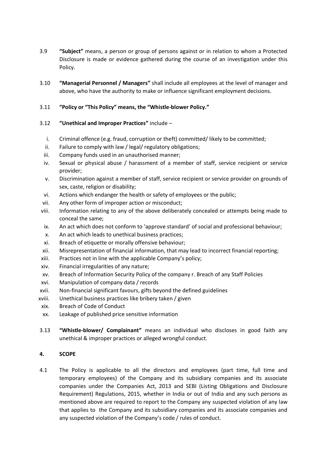- 3.9 **"Subject"** means, a person or group of persons against or in relation to whom a Protected Disclosure is made or evidence gathered during the course of an investigation under this Policy.
- 3.10 **"Managerial Personnel / Managers"** shall include all employees at the level of manager and above, who have the authority to make or influence significant employment decisions.

## 3.11 **"Policy or "This Policy" means, the "Whistle-blower Policy."**

- 3.12 **"Unethical and Improper Practices"** include
	- i. Criminal offence (e.g. fraud, corruption or theft) committed/ likely to be committed;
	- ii. Failure to comply with law / legal/ regulatory obligations;
	- iii. Company funds used in an unauthorised manner;
	- iv. Sexual or physical abuse / harassment of a member of staff, service recipient or service provider;
	- v. Discrimination against a member of staff, service recipient or service provider on grounds of sex, caste, religion or disability;
	- vi. Actions which endanger the health or safety of employees or the public;
- vii. Any other form of improper action or misconduct;
- viii. Information relating to any of the above deliberately concealed or attempts being made to conceal the same;
- ix. An act which does not conform to 'approve standard' of social and professional behaviour;
- x. An act which leads to unethical business practices;
- xi. Breach of etiquette or morally offensive behaviour;
- xii. Misrepresentation of financial information, that may lead to incorrect financial reporting;
- xiii. Practices not in line with the applicable Company's policy;
- xiv. Financial irregularities of any nature;
- xv. Breach of Information Security Policy of the company r. Breach of any Staff Policies
- xvi. Manipulation of company data / records
- xvii. Non-financial significant favours, gifts beyond the defined guidelines
- xviii. Unethical business practices like bribery taken / given
- xix. Breach of Code of Conduct
- xx. Leakage of published price sensitive information
- 3.13 **"Whistle-blower/ Complainant"** means an individual who discloses in good faith any unethical & improper practices or alleged wrongful conduct.

## **4. SCOPE**

4.1 The Policy is applicable to all the directors and employees (part time, full time and temporary employees) of the Company and its subsidiary companies and its associate companies under the Companies Act, 2013 and SEBI (Listing Obligations and Disclosure Requirement) Regulations, 2015, whether in India or out of India and any such persons as mentioned above are required to report to the Company any suspected violation of any law that applies to the Company and its subsidiary companies and its associate companies and any suspected violation of the Company's code / rules of conduct.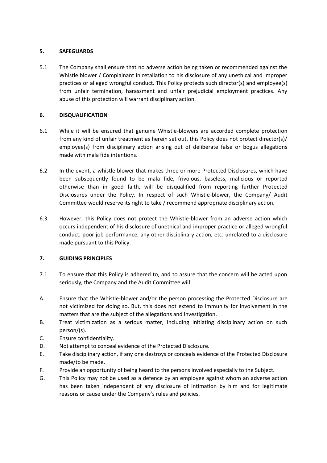## **5. SAFEGUARDS**

5.1 The Company shall ensure that no adverse action being taken or recommended against the Whistle blower / Complainant in retaliation to his disclosure of any unethical and improper practices or alleged wrongful conduct. This Policy protects such director(s) and employee(s) from unfair termination, harassment and unfair prejudicial employment practices. Any abuse of this protection will warrant disciplinary action.

## **6. DISQUALIFICATION**

- 6.1 While it will be ensured that genuine Whistle-blowers are accorded complete protection from any kind of unfair treatment as herein set out, this Policy does not protect director(s)/ employee(s) from disciplinary action arising out of deliberate false or bogus allegations made with mala fide intentions.
- 6.2 In the event, a whistle blower that makes three or more Protected Disclosures, which have been subsequently found to be mala fide, frivolous, baseless, malicious or reported otherwise than in good faith, will be disqualified from reporting further Protected Disclosures under the Policy. In respect of such Whistle-blower, the Company/ Audit Committee would reserve its right to take / recommend appropriate disciplinary action.
- 6.3 However, this Policy does not protect the Whistle-blower from an adverse action which occurs independent of his disclosure of unethical and improper practice or alleged wrongful conduct, poor job performance, any other disciplinary action, etc. unrelated to a disclosure made pursuant to this Policy.

## **7. GUIDING PRINCIPLES**

- 7.1 To ensure that this Policy is adhered to, and to assure that the concern will be acted upon seriously, the Company and the Audit Committee will:
- A. Ensure that the Whistle-blower and/or the person processing the Protected Disclosure are not victimized for doing so. But, this does not extend to immunity for involvement in the matters that are the subject of the allegations and investigation.
- B. Treat victimization as a serious matter, including initiating disciplinary action on such person/(s).
- C. Ensure confidentiality.
- D. Not attempt to conceal evidence of the Protected Disclosure.
- E. Take disciplinary action, if any one destroys or conceals evidence of the Protected Disclosure made/to be made.
- F. Provide an opportunity of being heard to the persons involved especially to the Subject.
- G. This Policy may not be used as a defence by an employee against whom an adverse action has been taken independent of any disclosure of intimation by him and for legitimate reasons or cause under the Company's rules and policies.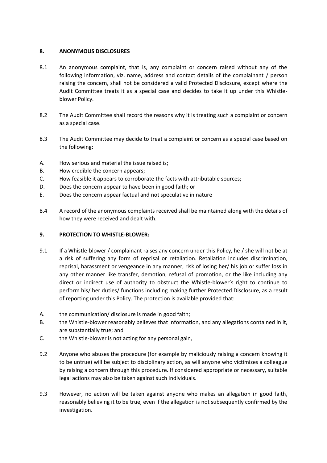## **8. ANONYMOUS DISCLOSURES**

- 8.1 An anonymous complaint, that is, any complaint or concern raised without any of the following information, viz. name, address and contact details of the complainant / person raising the concern, shall not be considered a valid Protected Disclosure, except where the Audit Committee treats it as a special case and decides to take it up under this Whistleblower Policy.
- 8.2 The Audit Committee shall record the reasons why it is treating such a complaint or concern as a special case.
- 8.3 The Audit Committee may decide to treat a complaint or concern as a special case based on the following:
- A. How serious and material the issue raised is;
- B. How credible the concern appears;
- C. How feasible it appears to corroborate the facts with attributable sources;
- D. Does the concern appear to have been in good faith; or
- E. Does the concern appear factual and not speculative in nature
- 8.4 A record of the anonymous complaints received shall be maintained along with the details of how they were received and dealt with.

#### **9. PROTECTION TO WHISTLE-BLOWER:**

- 9.1 If a Whistle-blower / complainant raises any concern under this Policy, he / she will not be at a risk of suffering any form of reprisal or retaliation. Retaliation includes discrimination, reprisal, harassment or vengeance in any manner, risk of losing her/ his job or suffer loss in any other manner like transfer, demotion, refusal of promotion, or the like including any direct or indirect use of authority to obstruct the Whistle-blower's right to continue to perform his/ her duties/ functions including making further Protected Disclosure, as a result of reporting under this Policy. The protection is available provided that:
- A. the communication/ disclosure is made in good faith;
- B. the Whistle-blower reasonably believes that information, and any allegations contained in it, are substantially true; and
- C. the Whistle-blower is not acting for any personal gain,
- 9.2 Anyone who abuses the procedure (for example by maliciously raising a concern knowing it to be untrue) will be subject to disciplinary action, as will anyone who victimizes a colleague by raising a concern through this procedure. If considered appropriate or necessary, suitable legal actions may also be taken against such individuals.
- 9.3 However, no action will be taken against anyone who makes an allegation in good faith, reasonably believing it to be true, even if the allegation is not subsequently confirmed by the investigation.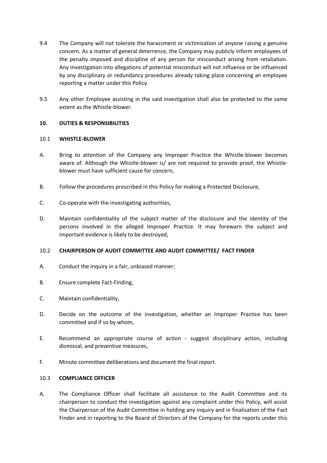- 9.4 The Company will not tolerate the harassment or victimization of anyone raising a genuine concern. As a matter of general deterrence, the Company may publicly inform employees of the penalty imposed and discipline of any person for misconduct arising from retaliation. Any investigation into allegations of potential misconduct will not influence or be influenced by any disciplinary or redundancy procedures already taking place concerning an employee reporting a matter under this Policy.
- 9.5 Any other Employee assisting in the said investigation shall also be protected to the same extent as the Whistle-blower.

## **10. DUTIES & RESPONSIBILITIES**

#### 10.1 **WHISTLE-BLOWER**

- A. Bring to attention of the Company any Improper Practice the Whistle-blower becomes aware of. Although the Whistle-blower is/ are not required to provide proof, the Whistleblower must have sufficient cause for concern,
- B. Follow the procedures prescribed in this Policy for making a Protected Disclosure,
- C. Co-operate with the investigating authorities,
- D. Maintain confidentiality of the subject matter of the disclosure and the identity of the persons involved in the alleged Improper Practice. It may forewarn the subject and important evidence is likely to be destroyed,

#### 10.2 **CHAIRPERSON OF AUDIT COMMITTEE AND AUDIT COMMITTEE/ FACT FINDER**

- A. Conduct the inquiry in a fair, unbiased manner;
- B. Ensure complete Fact-Finding,
- C. Maintain confidentiality,
- D. Decide on the outcome of the investigation, whether an Improper Practice has been committed and if so by whom,
- E. Recommend an appropriate course of action suggest disciplinary action, including dismissal, and preventive measures,
- F. Minute committee deliberations and document the final report.

#### 10.3 **COMPLIANCE OFFICER**

A. The Compliance Officer shall facilitate all assistance to the Audit Committee and its chairperson to conduct the investigation against any complaint under this Policy, will assist the Chairperson of the Audit Committee in holding any inquiry and in finalisation of the Fact Finder and in reporting to the Board of Directors of the Company for the reports under this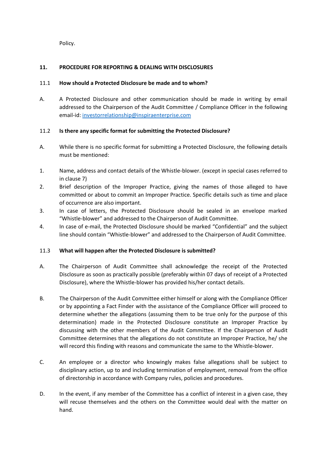Policy.

## **11. PROCEDURE FOR REPORTING & DEALING WITH DISCLOSURES**

## 11.1 **How should a Protected Disclosure be made and to whom?**

A. A Protected Disclosure and other communication should be made in writing by email addressed to the Chairperson of the Audit Committee / Compliance Officer in the following email-id: [investorrelationship@inspiraenterprise.com](mailto:investorrelationship@inspiraenterprise.com)

## 11.2 **Is there any specific format for submitting the Protected Disclosure?**

- A. While there is no specific format for submitting a Protected Disclosure, the following details must be mentioned:
- 1. Name, address and contact details of the Whistle-blower. (except in special cases referred to in clause 7)
- 2. Brief description of the Improper Practice, giving the names of those alleged to have committed or about to commit an Improper Practice. Specific details such as time and place of occurrence are also important.
- 3. In case of letters, the Protected Disclosure should be sealed in an envelope marked "Whistle-blower" and addressed to the Chairperson of Audit Committee.
- 4. In case of e-mail, the Protected Disclosure should be marked "Confidential" and the subject line should contain "Whistle-blower" and addressed to the Chairperson of Audit Committee.

#### 11.3 **What will happen after the Protected Disclosure is submitted?**

- A. The Chairperson of Audit Committee shall acknowledge the receipt of the Protected Disclosure as soon as practically possible (preferably within 07 days of receipt of a Protected Disclosure), where the Whistle-blower has provided his/her contact details.
- B. The Chairperson of the Audit Committee either himself or along with the Compliance Officer or by appointing a Fact Finder with the assistance of the Compliance Officer will proceed to determine whether the allegations (assuming them to be true only for the purpose of this determination) made in the Protected Disclosure constitute an Improper Practice by discussing with the other members of the Audit Committee. If the Chairperson of Audit Committee determines that the allegations do not constitute an Improper Practice, he/ she will record this finding with reasons and communicate the same to the Whistle-blower.
- C. An employee or a director who knowingly makes false allegations shall be subject to disciplinary action, up to and including termination of employment, removal from the office of directorship in accordance with Company rules, policies and procedures.
- D. In the event, if any member of the Committee has a conflict of interest in a given case, they will recuse themselves and the others on the Committee would deal with the matter on hand.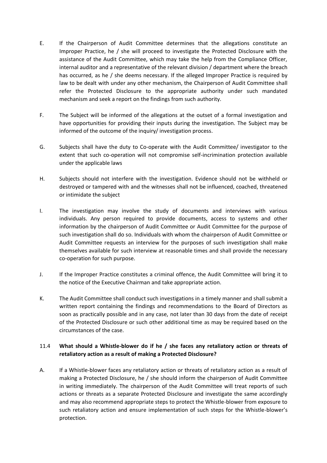- E. If the Chairperson of Audit Committee determines that the allegations constitute an Improper Practice, he / she will proceed to investigate the Protected Disclosure with the assistance of the Audit Committee, which may take the help from the Compliance Officer, internal auditor and a representative of the relevant division / department where the breach has occurred, as he / she deems necessary. If the alleged Improper Practice is required by law to be dealt with under any other mechanism, the Chairperson of Audit Committee shall refer the Protected Disclosure to the appropriate authority under such mandated mechanism and seek a report on the findings from such authority.
- F. The Subject will be informed of the allegations at the outset of a formal investigation and have opportunities for providing their inputs during the investigation. The Subject may be informed of the outcome of the inquiry/ investigation process.
- G. Subjects shall have the duty to Co-operate with the Audit Committee/ investigator to the extent that such co-operation will not compromise self-incrimination protection available under the applicable laws
- H. Subjects should not interfere with the investigation. Evidence should not be withheld or destroyed or tampered with and the witnesses shall not be influenced, coached, threatened or intimidate the subject
- I. The investigation may involve the study of documents and interviews with various individuals. Any person required to provide documents, access to systems and other information by the chairperson of Audit Committee or Audit Committee for the purpose of such investigation shall do so. Individuals with whom the chairperson of Audit Committee or Audit Committee requests an interview for the purposes of such investigation shall make themselves available for such interview at reasonable times and shall provide the necessary co-operation for such purpose.
- J. If the Improper Practice constitutes a criminal offence, the Audit Committee will bring it to the notice of the Executive Chairman and take appropriate action.
- K. The Audit Committee shall conduct such investigations in a timely manner and shall submit a written report containing the findings and recommendations to the Board of Directors as soon as practically possible and in any case, not later than 30 days from the date of receipt of the Protected Disclosure or such other additional time as may be required based on the circumstances of the case.

## 11.4 **What should a Whistle-blower do if he / she faces any retaliatory action or threats of retaliatory action as a result of making a Protected Disclosure?**

A. If a Whistle-blower faces any retaliatory action or threats of retaliatory action as a result of making a Protected Disclosure, he / she should inform the chairperson of Audit Committee in writing immediately. The chairperson of the Audit Committee will treat reports of such actions or threats as a separate Protected Disclosure and investigate the same accordingly and may also recommend appropriate steps to protect the Whistle-blower from exposure to such retaliatory action and ensure implementation of such steps for the Whistle-blower's protection.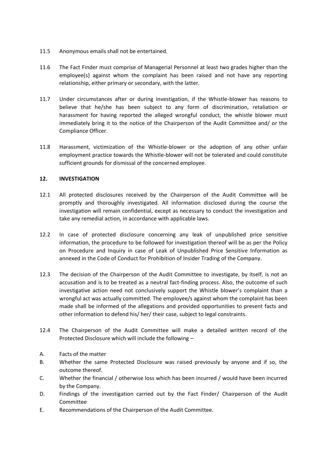- 11.5 Anonymous emails shall not be entertained.
- 11.6 The Fact Finder must comprise of Managerial Personnel at least two grades higher than the employee(s) against whom the complaint has been raised and not have any reporting relationship, either primary or secondary, with the latter.
- 11.7 Under circumstances after or during investigation, if the Whistle-blower has reasons to believe that he/she has been subject to any form of discrimination, retaliation or harassment for having reported the alleged wrongful conduct, the whistle blower must immediately bring it to the notice of the Chairperson of the Audit Committee and/ or the Compliance Officer.
- 11.8 Harassment, victimization of the Whistle-blower or the adoption of any other unfair employment practice towards the Whistle-blower will not be tolerated and could constitute sufficient grounds for dismissal of the concerned employee.

## **12. INVESTIGATION**

- 12.1 All protected disclosures received by the Chairperson of the Audit Committee will be promptly and thoroughly investigated. All information disclosed during the course the investigation will remain confidential, except as necessary to conduct the investigation and take any remedial action, in accordance with applicable laws.
- 12.2 In case of protected disclosure concerning any leak of unpublished price sensitive information, the procedure to be followed for investigation thereof will be as per the Policy on Procedure and Inquiry in case of Leak of Unpublished Price Sensitive Information as annexed in the Code of Conduct for Prohibition of Insider Trading of the Company.
- 12.3 The decision of the Chairperson of the Audit Committee to investigate, by itself, is not an accusation and is to be treated as a neutral fact-finding process. Also, the outcome of such investigative action need not conclusively support the Whistle blower's complaint than a wrongful act was actually committed. The employee/s against whom the complaint has been made shall be informed of the allegations and provided opportunities to present facts and other information to defend his/ her/ their case, subject to legal constraints.
- 12.4 The Chairperson of the Audit Committee will make a detailed written record of the Protected Disclosure which will include the following –
- A. Facts of the matter
- B. Whether the same Protected Disclosure was raised previously by anyone and if so, the outcome thereof.
- C. Whether the financial / otherwise loss which has been incurred / would have been incurred by the Company.
- D. Findings of the investigation carried out by the Fact Finder/ Chairperson of the Audit Committee
- E. Recommendations of the Chairperson of the Audit Committee.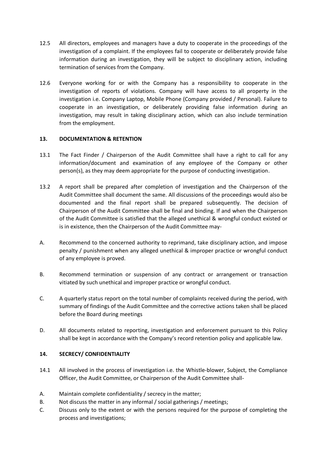- 12.5 All directors, employees and managers have a duty to cooperate in the proceedings of the investigation of a complaint. If the employees fail to cooperate or deliberately provide false information during an investigation, they will be subject to disciplinary action, including termination of services from the Company.
- 12.6 Everyone working for or with the Company has a responsibility to cooperate in the investigation of reports of violations. Company will have access to all property in the investigation i.e. Company Laptop, Mobile Phone (Company provided / Personal). Failure to cooperate in an investigation, or deliberately providing false information during an investigation, may result in taking disciplinary action, which can also include termination from the employment.

## **13. DOCUMENTATION & RETENTION**

- 13.1 The Fact Finder / Chairperson of the Audit Committee shall have a right to call for any information/document and examination of any employee of the Company or other person(s), as they may deem appropriate for the purpose of conducting investigation.
- 13.2 A report shall be prepared after completion of investigation and the Chairperson of the Audit Committee shall document the same. All discussions of the proceedings would also be documented and the final report shall be prepared subsequently. The decision of Chairperson of the Audit Committee shall be final and binding. If and when the Chairperson of the Audit Committee is satisfied that the alleged unethical & wrongful conduct existed or is in existence, then the Chairperson of the Audit Committee may-
- A. Recommend to the concerned authority to reprimand, take disciplinary action, and impose penalty / punishment when any alleged unethical & improper practice or wrongful conduct of any employee is proved.
- B. Recommend termination or suspension of any contract or arrangement or transaction vitiated by such unethical and improper practice or wrongful conduct.
- C. A quarterly status report on the total number of complaints received during the period, with summary of findings of the Audit Committee and the corrective actions taken shall be placed before the Board during meetings
- D. All documents related to reporting, investigation and enforcement pursuant to this Policy shall be kept in accordance with the Company's record retention policy and applicable law.

## **14. SECRECY/ CONFIDENTIALITY**

- 14.1 All involved in the process of investigation i.e. the Whistle-blower, Subject, the Compliance Officer, the Audit Committee, or Chairperson of the Audit Committee shall-
- A. Maintain complete confidentiality / secrecy in the matter;
- B. Not discuss the matter in any informal / social gatherings / meetings;
- C. Discuss only to the extent or with the persons required for the purpose of completing the process and investigations;